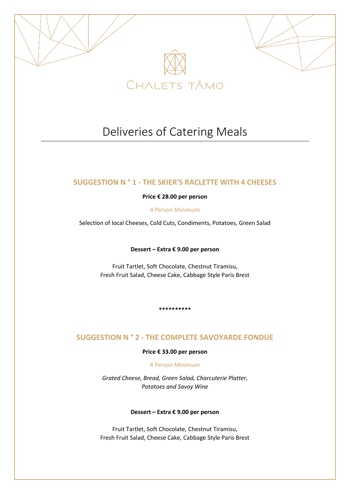

# Deliveries of Catering Meals

# **SUGGESTION N ° 1 - THE SKIER'S RACLETTE WITH 4 CHEESES**

# **Price € 28.00 per person**

4 Person Minimum

Selection of local Cheeses, Cold Cuts, Condiments, Potatoes, Green Salad

**Dessert – Extra € 9.00 per person**

Fruit Tartlet, Soft Chocolate, Chestnut Tiramisu, Fresh Fruit Salad, Cheese Cake, Cabbage Style Paris Brest

**\*\*\*\*\*\*\*\*\*\***

# **SUGGESTION N ° 2 - THE COMPLETE SAVOYARDE FONDUE**

# **Price € 33.00 per person**

# 4 Person Minimum

*Grated Cheese, Bread, Green Salad, Charcuterie Platter, Potatoes and Savoy Wine*

# **Dessert – Extra € 9.00 per person**

Fruit Tartlet, Soft Chocolate, Chestnut Tiramisu, Fresh Fruit Salad, Cheese Cake, Cabbage Style Paris Brest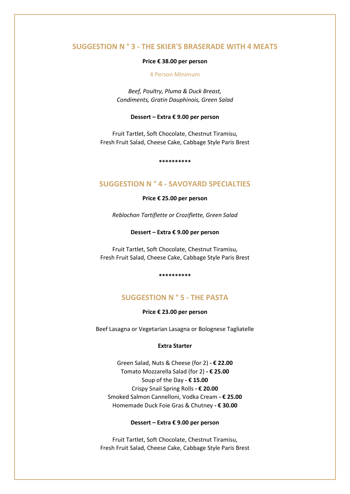# **SUGGESTION N ° 3 - THE SKIER'S BRASERADE WITH 4 MEATS**

### **Price € 38.00 per person**

### 4 Person Minimum

*Beef, Poultry, Pluma & Duck Breast, Condiments, Gratin Dauphinois, Green Salad*

#### **Dessert – Extra € 9.00 per person**

Fruit Tartlet, Soft Chocolate, Chestnut Tiramisu, Fresh Fruit Salad, Cheese Cake, Cabbage Style Paris Brest

**\*\*\*\*\*\*\*\*\*\***

# **SUGGESTION N ° 4 - SAVOYARD SPECIALTIES**

**Price € 25.00 per person**

*Reblochon Tartiflette or Croziflette, Green Salad*

### **Dessert – Extra € 9.00 per person**

Fruit Tartlet, Soft Chocolate, Chestnut Tiramisu, Fresh Fruit Salad, Cheese Cake, Cabbage Style Paris Brest

**\*\*\*\*\*\*\*\*\*\***

# **SUGGESTION N ° 5 - THE PASTA**

**Price € 23.00 per person**

Beef Lasagna or Vegetarian Lasagna or Bolognese Tagliatelle

#### **Extra Starter**

Green Salad, Nuts & Cheese (for 2) **- € 22.00** Tomato Mozzarella Salad (for 2) **- € 25.00** Soup of the Day **- € 15.00** Crispy Snail Spring Rolls **- € 20.00** Smoked Salmon Cannelloni, Vodka Cream **- € 25.00** Homemade Duck Foie Gras & Chutney **- € 30.00**

## **Dessert – Extra € 9.00 per person**

Fruit Tartlet, Soft Chocolate, Chestnut Tiramisu, Fresh Fruit Salad, Cheese Cake, Cabbage Style Paris Brest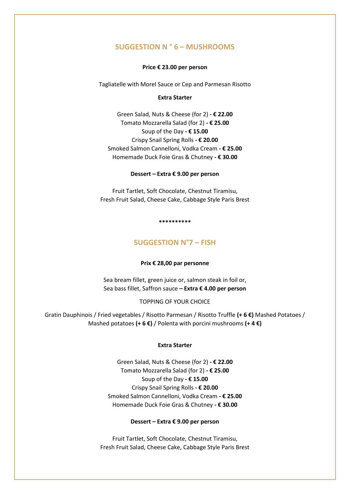# **SUGGESTION N ° 6 – MUSHROOMS**

### **Price € 23.00 per person**

Tagliatelle with Morel Sauce or Cep and Parmesan Risotto

### **Extra Starter**

Green Salad, Nuts & Cheese (for 2) **- € 22.00** Tomato Mozzarella Salad (for 2) **- € 25.00** Soup of the Day **- € 15.00** Crispy Snail Spring Rolls **- € 20.00** Smoked Salmon Cannelloni, Vodka Cream **- € 25.00** Homemade Duck Foie Gras & Chutney **- € 30.00**

#### **Dessert – Extra € 9.00 per person**

Fruit Tartlet, Soft Chocolate, Chestnut Tiramisu, Fresh Fruit Salad, Cheese Cake, Cabbage Style Paris Brest

#### **\*\*\*\*\*\*\*\*\*\***

# **SUGGESTION N°7 – FISH**

#### **Prix € 28,00 par personne**

Sea bream fillet, green juice or, salmon steak in foil or, Sea bass fillet, Saffron sauce **– Extra € 4.00 per person**

### TOPPING OF YOUR CHOICE

Gratin Dauphinois / Fried vegetables / Risotto Parmesan / Risotto Truffle **(+ 6 €)** Mashed Potatoes / Mashed potatoes **(+ 6 €)** / Polenta with porcini mushrooms **(+ 4 €)**

### **Extra Starter**

Green Salad, Nuts & Cheese (for 2) **- € 22.00** Tomato Mozzarella Salad (for 2) **- € 25.00** Soup of the Day **- € 15.00** Crispy Snail Spring Rolls **- € 20.00** Smoked Salmon Cannelloni, Vodka Cream **- € 25.00** Homemade Duck Foie Gras & Chutney **- € 30.00**

### **Dessert – Extra € 9.00 per person**

Fruit Tartlet, Soft Chocolate, Chestnut Tiramisu, Fresh Fruit Salad, Cheese Cake, Cabbage Style Paris Brest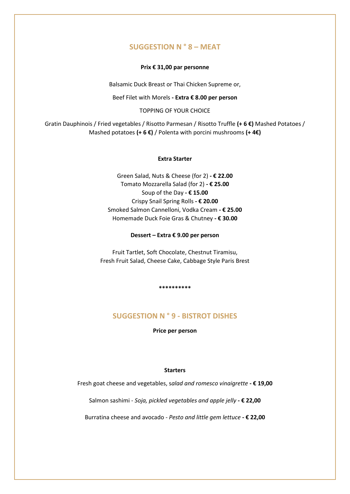# **SUGGESTION N ° 8 – MEAT**

### **Prix € 31,00 par personne**

Balsamic Duck Breast or Thai Chicken Supreme or,

Beef Filet with Morels **- Extra € 8.00 per person**

TOPPING OF YOUR CHOICE

Gratin Dauphinois / Fried vegetables / Risotto Parmesan / Risotto Truffle **(+ 6 €)** Mashed Potatoes / Mashed potatoes **(+ 6 €)** / Polenta with porcini mushrooms **(+ 4€)**

## **Extra Starter**

Green Salad, Nuts & Cheese (for 2) **- € 22.00** Tomato Mozzarella Salad (for 2) **- € 25.00** Soup of the Day **- € 15.00** Crispy Snail Spring Rolls **- € 20.00** Smoked Salmon Cannelloni, Vodka Cream **- € 25.00** Homemade Duck Foie Gras & Chutney **- € 30.00**

**Dessert – Extra € 9.00 per person**

Fruit Tartlet, Soft Chocolate, Chestnut Tiramisu, Fresh Fruit Salad, Cheese Cake, Cabbage Style Paris Brest

**\*\*\*\*\*\*\*\*\*\***

# **SUGGESTION N ° 9 - BISTROT DISHES**

**Price per person**

## **Starters**

Fresh goat cheese and vegetables, s*alad and romesco vinaigrette* **- € 19,00**

Salmon sashimi - *Soja, pickled vegetables and apple jelly* **- € 22,00**

Burratina cheese and avocado - *Pesto and little gem lettuce* **- € 22,00**